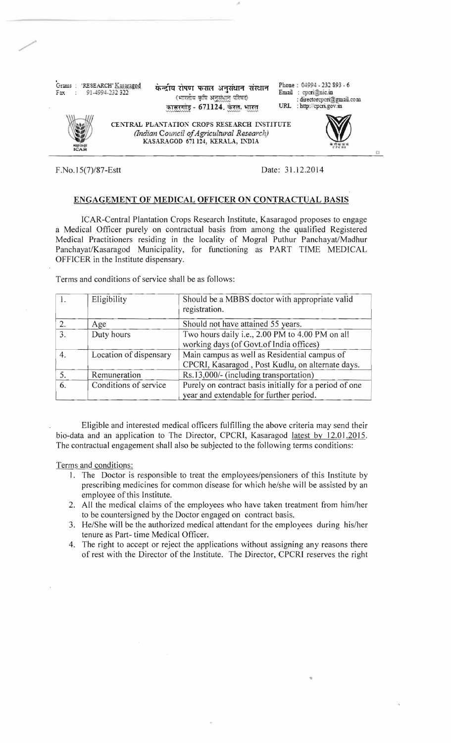Grams: 'RESEARCH' Kasaraged ضم المجلسة - 'RESEARCH' Kasaraged ضم المجلسة - ' ' RESEARCH' Kasaraged ضم المجلسة<br>Fax : 91-4994-232 322 (भारतीय कृषि अनुसंधान परिषद) : directorcpcri@gmail.com<br>कासरगोड - 671124. केरल. भारत URL कासरगोड़ - 671124. केरल. भारत

/'

CENTRAL PLANTATION CROPS RESEARCH INSTITUTE *(Indian Council ofAgricultural Research*  PLANTATION CROPS RESEARCH INSTITUTE<br>dian Council of Agricultural Research)<br>KASARAGOD 671124, KERALA, INDIA



F.No.15(7)/87-Estt Date: 31.12.2014

## ENGAGEMENT OF MEDICAL OFFICER ON CONTRACTUAL BASIS

ICAR-Central Plantation Crops Research Institute, Kasaragod proposes to engage a Medical Officer purely on contractual basis from among the qualified Registered Medical Practitioners residing in the locality of Mogral Puthur Panchayat/Madhur Panchayat/Kasaragod Municipality, for functioning as PART TIME MEDICAL OFFICER in the Institute dispensary.

Terms and conditions of service shall be as follows:

|    | Eligibility            | Should be a MBBS doctor with appropriate valid<br>registration.                                   |
|----|------------------------|---------------------------------------------------------------------------------------------------|
| 2. | Age                    | Should not have attained 55 years.                                                                |
| 3. | Duty hours             | Two hours daily i.e., 2.00 PM to 4.00 PM on all<br>working days (of Govt.of India offices)        |
| 4. | Location of dispensary | Main campus as well as Residential campus of<br>CPCRI, Kasaragod, Post Kudlu, on alternate days.  |
| 5. | Remuneration           | Rs.13,000/- (including transportation)                                                            |
| 6. | Conditions of service  | Purely on contract basis initially for a period of one<br>year and extendable for further period. |

Eligible and interested medical officers fulfilling the above criteria may send their bio-data and an application to The Director, CPCRI, Kasaragod latest by 12.01.2015. The contractual engagement shall also be subjected to the following terms conditions:

Terms and conditions:

- 1. The Doctor is responsible to treat the employees/pensioners of this Institute by prescribing medicines for common disease for which he/she will be assisted by an employee of this Institute.
- 2. All the medical claims of the employees who have taken treatment from him/her to be countersigned by the Doctor engaged on contract basis.
- 3. He/She will be the authorized medical attendant for the employees during his/her tenure as Part- time Medical Officer.
- 4. The right to accept or reject the applications without assigning any reasons there of rest with the Director of the Institute. The Director, CPCRI reserves the right

•